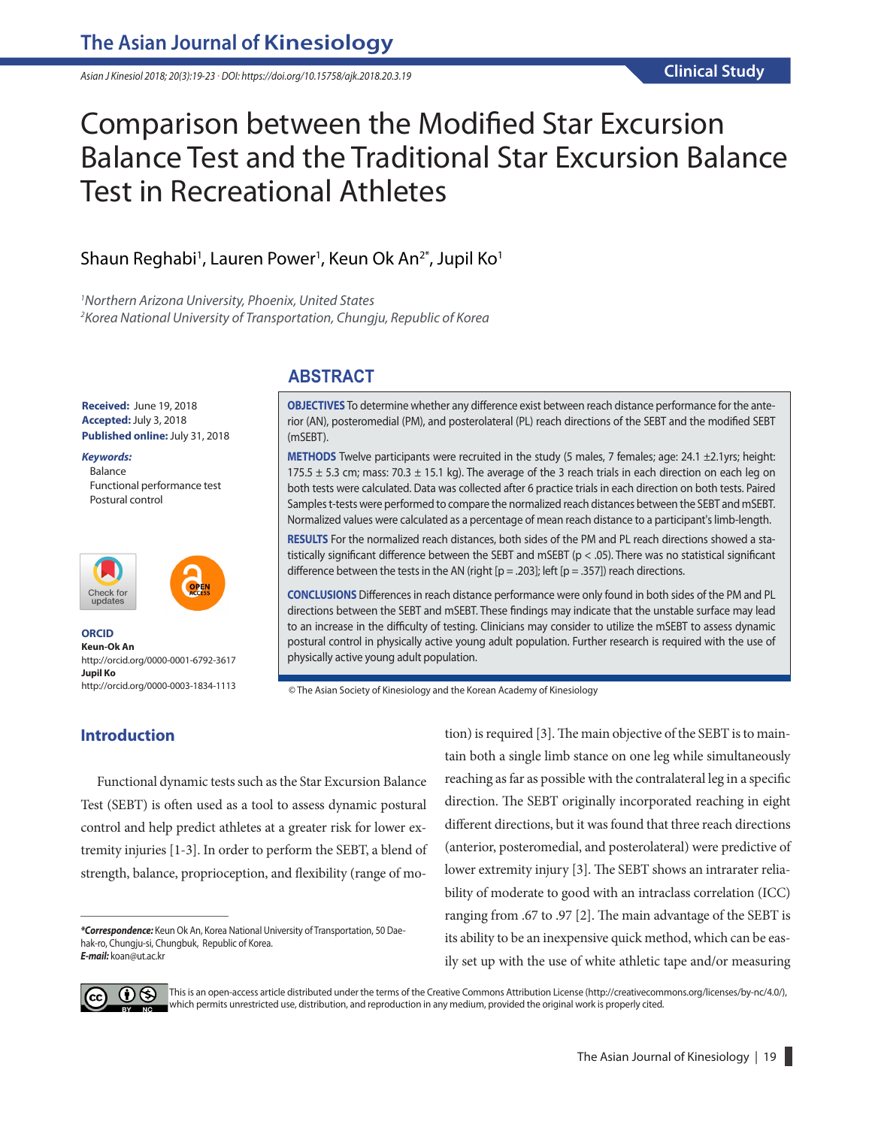*Asian J Kinesiol 2018; 20(3):19-23 · DOI: https://doi.org/10.15758/ajk.2018.20.3.19*

# Comparison between the Modified Star Excursion Balance Test and the Traditional Star Excursion Balance Test in Recreational Athletes

# Shaun Reghabi<sup>1</sup>, Lauren Power<sup>1</sup>, Keun Ok An<sup>2\*</sup>, Jupil Ko<sup>1</sup>

*1 Northern Arizona University, Phoenix, United States 2 Korea National University of Transportation, Chungju, Republic of Korea*

#### **Received:** June 19, 2018 **Accepted:**July 3, 2018 **Published online:**July 31, 2018

*Keywords:* **Balance** Functional performance test Postural control





**ORCID Keun-Ok An** http://orcid.org/0000-0001-6792-3617 **Jupil Ko** http://orcid.org/0000-0003-1834-1113

# **ABSTRACT**

**OBJECTIVES** To determine whether any difference exist between reach distance performance for the anterior (AN), posteromedial (PM), and posterolateral (PL) reach directions of the SEBT and the modified SEBT (mSEBT).

**METHODS** Twelve participants were recruited in the study (5 males, 7 females; age: 24.1 ±2.1yrs; height: 175.5  $\pm$  5.3 cm; mass: 70.3  $\pm$  15.1 kg). The average of the 3 reach trials in each direction on each leg on both tests were calculated. Data was collected after 6 practice trials in each direction on both tests. Paired Samples t-tests were performed to compare the normalized reach distances between the SEBT and mSEBT. Normalized values were calculated as a percentage of mean reach distance to a participant's limb-length.

**RESULTS** For the normalized reach distances, both sides of the PM and PL reach directions showed a statistically significant difference between the SEBT and mSEBT ( $p < .05$ ). There was no statistical significant difference between the tests in the AN (right [ $p = .203$ ]; left [ $p = .357$ ]) reach directions.

**CONCLUSIONS** Differences in reach distance performance were only found in both sides of the PM and PL directions between the SEBT and mSEBT. These findings may indicate that the unstable surface may lead to an increase in the difficulty of testing. Clinicians may consider to utilize the mSEBT to assess dynamic postural control in physically active young adult population. Further research is required with the use of physically active young adult population.

© The Asian Society of Kinesiology and the Korean Academy of Kinesiology

# **Introduction**

Functional dynamic tests such as the Star Excursion Balance Test (SEBT) is often used as a tool to assess dynamic postural control and help predict athletes at a greater risk for lower extremity injuries [1-3]. In order to perform the SEBT, a blend of strength, balance, proprioception, and flexibility (range of motion) is required [3]. The main objective of the SEBT is to maintain both a single limb stance on one leg while simultaneously reaching as far as possible with the contralateral leg in a specific direction. The SEBT originally incorporated reaching in eight different directions, but it was found that three reach directions (anterior, posteromedial, and posterolateral) were predictive of lower extremity injury [3]. The SEBT shows an intrarater reliability of moderate to good with an intraclass correlation (ICC) ranging from .67 to .97 [2]. The main advantage of the SEBT is its ability to be an inexpensive quick method, which can be easily set up with the use of white athletic tape and/or measuring



This is an open-access article distributed under the terms of the Creative Commons Attribution License (http://creativecommons.org/licenses/by-nc/4.0/), which permits unrestricted use, distribution, and reproduction in any medium, provided the original work is properly cited.

*<sup>\*</sup>Correspondence:* Keun Ok An, Korea National University of Transportation, 50 Daehak-ro, Chungju-si, Chungbuk, Republic of Korea. *E-mail:* koan@ut.ac.kr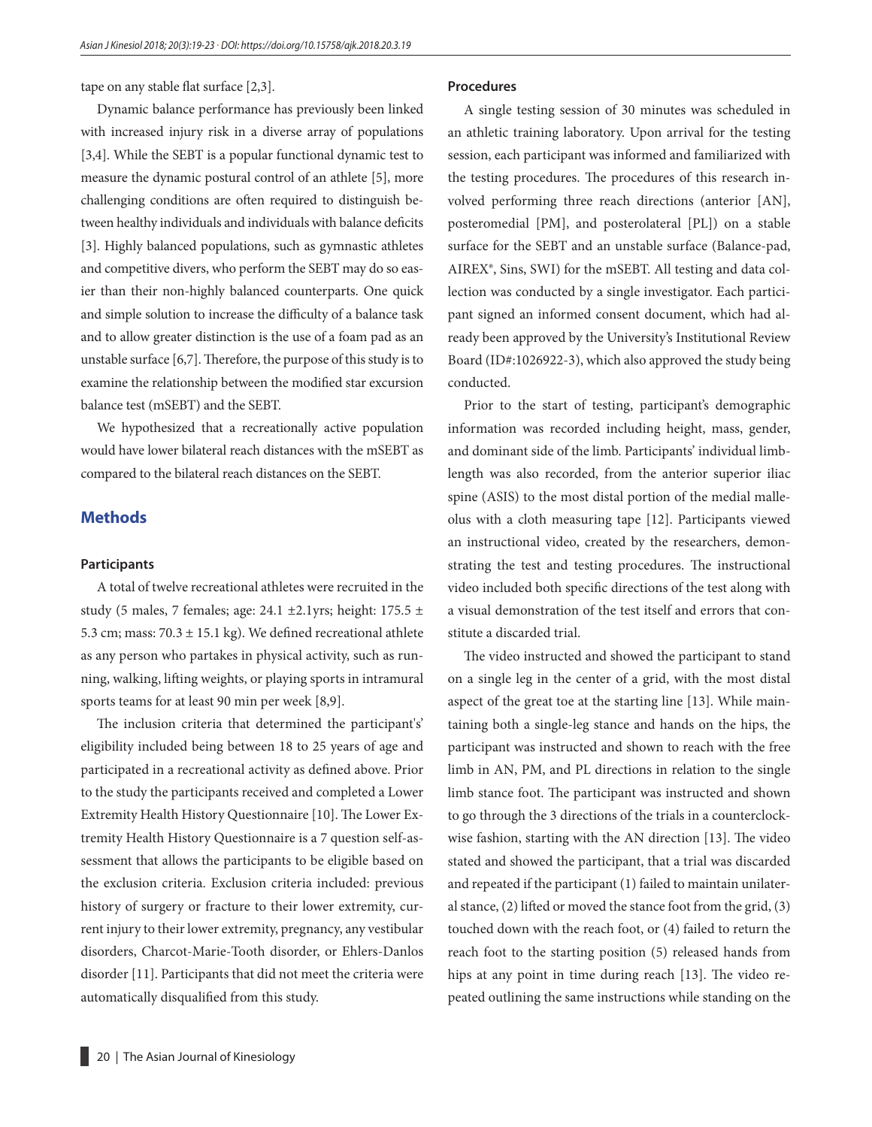tape on any stable flat surface [2,3].

Dynamic balance performance has previously been linked with increased injury risk in a diverse array of populations [3,4]. While the SEBT is a popular functional dynamic test to measure the dynamic postural control of an athlete [5], more challenging conditions are often required to distinguish between healthy individuals and individuals with balance deficits [3]. Highly balanced populations, such as gymnastic athletes and competitive divers, who perform the SEBT may do so easier than their non-highly balanced counterparts. One quick and simple solution to increase the difficulty of a balance task and to allow greater distinction is the use of a foam pad as an unstable surface [6,7]. Therefore, the purpose of this study is to examine the relationship between the modified star excursion balance test (mSEBT) and the SEBT.

We hypothesized that a recreationally active population would have lower bilateral reach distances with the mSEBT as compared to the bilateral reach distances on the SEBT.

# **Methods**

#### **Participants**

A total of twelve recreational athletes were recruited in the study (5 males, 7 females; age: 24.1 ±2.1yrs; height: 175.5 ± 5.3 cm; mass:  $70.3 \pm 15.1$  kg). We defined recreational athlete as any person who partakes in physical activity, such as running, walking, lifting weights, or playing sports in intramural sports teams for at least 90 min per week [8,9].

The inclusion criteria that determined the participant's' eligibility included being between 18 to 25 years of age and participated in a recreational activity as defined above. Prior to the study the participants received and completed a Lower Extremity Health History Questionnaire [10]. The Lower Extremity Health History Questionnaire is a 7 question self-assessment that allows the participants to be eligible based on the exclusion criteria. Exclusion criteria included: previous history of surgery or fracture to their lower extremity, current injury to their lower extremity, pregnancy, any vestibular disorders, Charcot-Marie-Tooth disorder, or Ehlers-Danlos disorder [11]. Participants that did not meet the criteria were automatically disqualified from this study.

#### **Procedures**

A single testing session of 30 minutes was scheduled in an athletic training laboratory. Upon arrival for the testing session, each participant was informed and familiarized with the testing procedures. The procedures of this research involved performing three reach directions (anterior [AN], posteromedial [PM], and posterolateral [PL]) on a stable surface for the SEBT and an unstable surface (Balance-pad, AIREX®, Sins, SWI) for the mSEBT. All testing and data collection was conducted by a single investigator. Each participant signed an informed consent document, which had already been approved by the University's Institutional Review Board (ID#:1026922-3), which also approved the study being conducted.

Prior to the start of testing, participant's demographic information was recorded including height, mass, gender, and dominant side of the limb. Participants' individual limblength was also recorded, from the anterior superior iliac spine (ASIS) to the most distal portion of the medial malleolus with a cloth measuring tape [12]. Participants viewed an instructional video, created by the researchers, demonstrating the test and testing procedures. The instructional video included both specific directions of the test along with a visual demonstration of the test itself and errors that constitute a discarded trial.

The video instructed and showed the participant to stand on a single leg in the center of a grid, with the most distal aspect of the great toe at the starting line [13]. While maintaining both a single-leg stance and hands on the hips, the participant was instructed and shown to reach with the free limb in AN, PM, and PL directions in relation to the single limb stance foot. The participant was instructed and shown to go through the 3 directions of the trials in a counterclockwise fashion, starting with the AN direction [13]. The video stated and showed the participant, that a trial was discarded and repeated if the participant (1) failed to maintain unilateral stance, (2) lifted or moved the stance foot from the grid, (3) touched down with the reach foot, or (4) failed to return the reach foot to the starting position (5) released hands from hips at any point in time during reach [13]. The video repeated outlining the same instructions while standing on the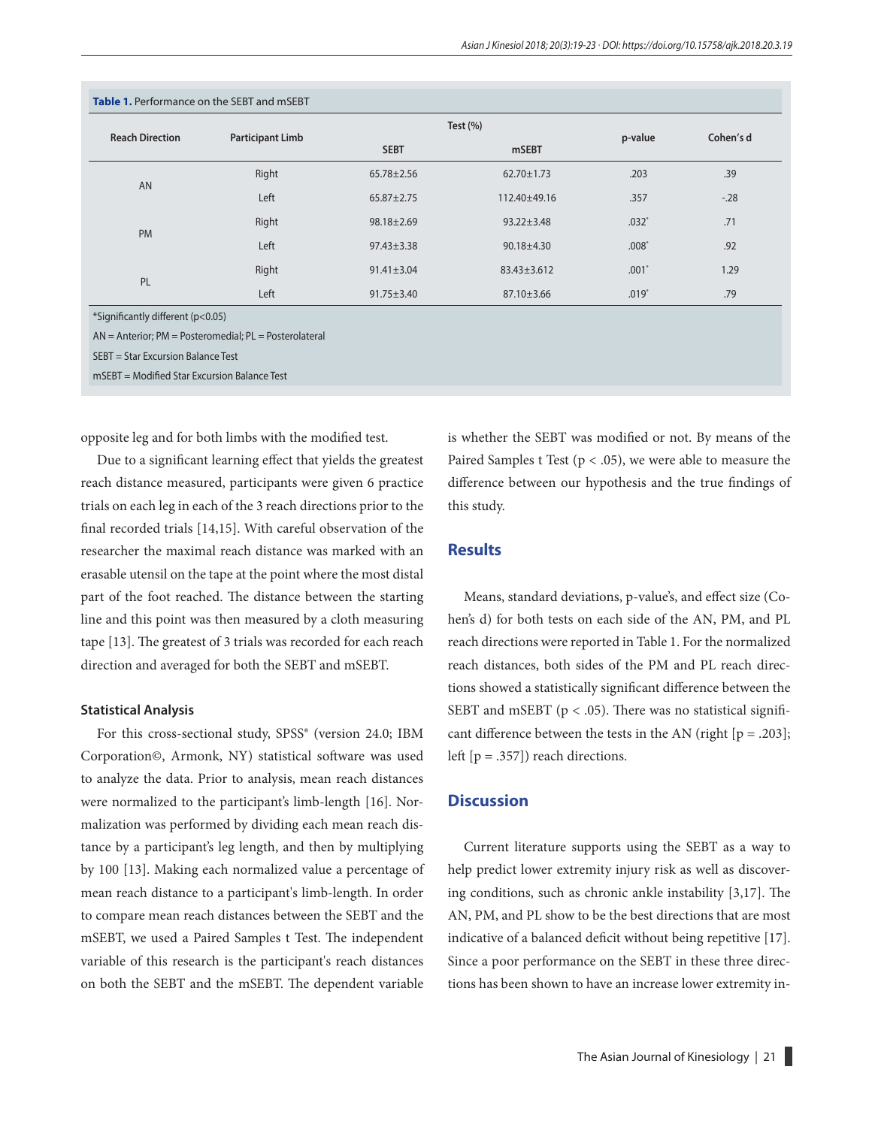| Table 1. Performance on the SEBT and mSEBT |                         |                  |                  |         |           |
|--------------------------------------------|-------------------------|------------------|------------------|---------|-----------|
| <b>Reach Direction</b>                     | <b>Participant Limb</b> | Test $(\% )$     |                  | p-value | Cohen's d |
|                                            |                         | <b>SEBT</b>      | <b>mSEBT</b>     |         |           |
| <b>AN</b>                                  | Right                   | $65.78 \pm 2.56$ | $62.70 \pm 1.73$ | .203    | .39       |
|                                            | Left                    | $65.87 \pm 2.75$ | 112.40±49.16     | .357    | $-28$     |
| <b>PM</b>                                  | Right                   | $98.18 \pm 2.69$ | $93.22 \pm 3.48$ | $.032*$ | .71       |
|                                            | Left                    | $97.43 \pm 3.38$ | $90.18 + 4.30$   | $.008*$ | .92       |
| PL                                         | Right                   | $91.41 \pm 3.04$ | 83.43±3.612      | .001'   | 1.29      |
|                                            | Left                    | $91.75 \pm 3.40$ | $87.10 \pm 3.66$ | $.019*$ | .79       |

\*Significantly different (p<0.05)

AN = Anterior; PM = Posteromedial; PL = Posterolateral

SEBT = Star Excursion Balance Test

mSEBT = Modified Star Excursion Balance Test

opposite leg and for both limbs with the modified test.

Due to a significant learning effect that yields the greatest reach distance measured, participants were given 6 practice trials on each leg in each of the 3 reach directions prior to the final recorded trials [14,15]. With careful observation of the researcher the maximal reach distance was marked with an erasable utensil on the tape at the point where the most distal part of the foot reached. The distance between the starting line and this point was then measured by a cloth measuring tape [13]. The greatest of 3 trials was recorded for each reach direction and averaged for both the SEBT and mSEBT.

#### **Statistical Analysis**

For this cross-sectional study, SPSS® (version 24.0; IBM Corporation©, Armonk, NY) statistical software was used to analyze the data. Prior to analysis, mean reach distances were normalized to the participant's limb-length [16]. Normalization was performed by dividing each mean reach distance by a participant's leg length, and then by multiplying by 100 [13]. Making each normalized value a percentage of mean reach distance to a participant's limb-length. In order to compare mean reach distances between the SEBT and the mSEBT, we used a Paired Samples t Test. The independent variable of this research is the participant's reach distances on both the SEBT and the mSEBT. The dependent variable

is whether the SEBT was modified or not. By means of the Paired Samples t Test ( $p < .05$ ), we were able to measure the difference between our hypothesis and the true findings of this study.

## **Results**

Means, standard deviations, p-value's, and effect size (Cohen's d) for both tests on each side of the AN, PM, and PL reach directions were reported in Table 1. For the normalized reach distances, both sides of the PM and PL reach directions showed a statistically significant difference between the SEBT and mSEBT ( $p < .05$ ). There was no statistical significant difference between the tests in the AN (right  $[p = .203]$ ; left  $[p = .357]$ ) reach directions.

#### **Discussion**

Current literature supports using the SEBT as a way to help predict lower extremity injury risk as well as discovering conditions, such as chronic ankle instability [3,17]. The AN, PM, and PL show to be the best directions that are most indicative of a balanced deficit without being repetitive [17]. Since a poor performance on the SEBT in these three directions has been shown to have an increase lower extremity in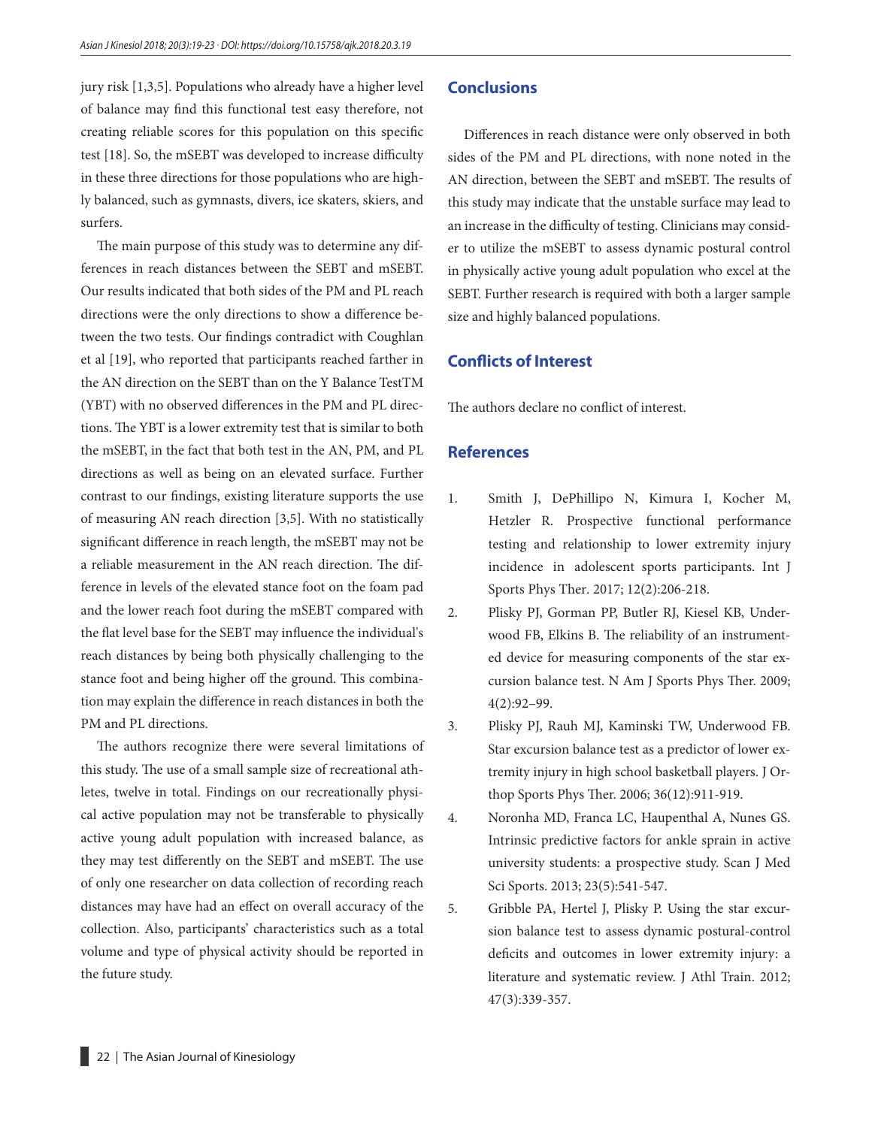jury risk [1,3,5]. Populations who already have a higher level of balance may find this functional test easy therefore, not creating reliable scores for this population on this specific test [18]. So, the mSEBT was developed to increase difficulty in these three directions for those populations who are highly balanced, such as gymnasts, divers, ice skaters, skiers, and surfers.

The main purpose of this study was to determine any differences in reach distances between the SEBT and mSEBT. Our results indicated that both sides of the PM and PL reach directions were the only directions to show a difference between the two tests. Our findings contradict with Coughlan et al [19], who reported that participants reached farther in the AN direction on the SEBT than on the Y Balance TestTM (YBT) with no observed differences in the PM and PL directions. The YBT is a lower extremity test that is similar to both the mSEBT, in the fact that both test in the AN, PM, and PL directions as well as being on an elevated surface. Further contrast to our findings, existing literature supports the use of measuring AN reach direction [3,5]. With no statistically significant difference in reach length, the mSEBT may not be a reliable measurement in the AN reach direction. The difference in levels of the elevated stance foot on the foam pad and the lower reach foot during the mSEBT compared with the flat level base for the SEBT may influence the individual's reach distances by being both physically challenging to the stance foot and being higher off the ground. This combination may explain the difference in reach distances in both the PM and PL directions.

The authors recognize there were several limitations of this study. The use of a small sample size of recreational athletes, twelve in total. Findings on our recreationally physical active population may not be transferable to physically active young adult population with increased balance, as they may test differently on the SEBT and mSEBT. The use of only one researcher on data collection of recording reach distances may have had an effect on overall accuracy of the collection. Also, participants' characteristics such as a total volume and type of physical activity should be reported in the future study.

## **Conclusions**

Differences in reach distance were only observed in both sides of the PM and PL directions, with none noted in the AN direction, between the SEBT and mSEBT. The results of this study may indicate that the unstable surface may lead to an increase in the difficulty of testing. Clinicians may consider to utilize the mSEBT to assess dynamic postural control in physically active young adult population who excel at the SEBT. Further research is required with both a larger sample size and highly balanced populations.

## **Conflicts of Interest**

The authors declare no conflict of interest.

## **References**

- 1. Smith J, DePhillipo N, Kimura I, Kocher M, Hetzler R. Prospective functional performance testing and relationship to lower extremity injury incidence in adolescent sports participants. Int J Sports Phys Ther. 2017; 12(2):206-218.
- 2. Plisky PJ, Gorman PP, Butler RJ, Kiesel KB, Underwood FB, Elkins B. The reliability of an instrumented device for measuring components of the star excursion balance test. N Am J Sports Phys Ther. 2009; 4(2):92–99.
- 3. Plisky PJ, Rauh MJ, Kaminski TW, Underwood FB. Star excursion balance test as a predictor of lower extremity injury in high school basketball players. J Orthop Sports Phys Ther. 2006; 36(12):911-919.
- 4. Noronha MD, Franca LC, Haupenthal A, Nunes GS. Intrinsic predictive factors for ankle sprain in active university students: a prospective study. Scan J Med Sci Sports. 2013; 23(5):541-547.
- 5. Gribble PA, Hertel J, Plisky P. Using the star excursion balance test to assess dynamic postural-control deficits and outcomes in lower extremity injury: a literature and systematic review. J Athl Train. 2012; 47(3):339-357.